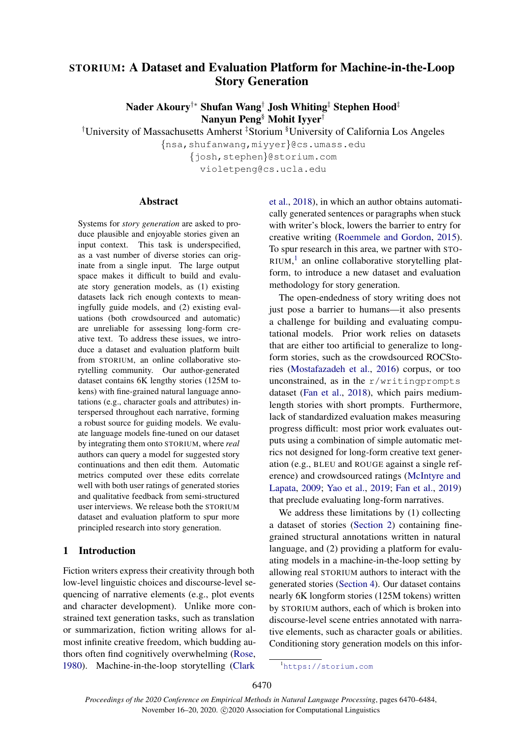# STORIUM: A Dataset and Evaluation Platform for Machine-in-the-Loop Story Generation

Nader Akoury†∗ Shufan Wang† Josh Whiting‡ Stephen Hood‡ Nanyun Peng§ Mohit Iyyer†

†University of Massachusetts Amherst ‡Storium §University of California Los Angeles

{nsa,shufanwang,miyyer}@cs.umass.edu

{josh,stephen}@storium.com violetpeng@cs.ucla.edu

# Abstract

Systems for *story generation* are asked to produce plausible and enjoyable stories given an input context. This task is underspecified, as a vast number of diverse stories can originate from a single input. The large output space makes it difficult to build and evaluate story generation models, as (1) existing datasets lack rich enough contexts to meaningfully guide models, and (2) existing evaluations (both crowdsourced and automatic) are unreliable for assessing long-form creative text. To address these issues, we introduce a dataset and evaluation platform built from STORIUM, an online collaborative storytelling community. Our author-generated dataset contains 6K lengthy stories (125M tokens) with fine-grained natural language annotations (e.g., character goals and attributes) interspersed throughout each narrative, forming a robust source for guiding models. We evaluate language models fine-tuned on our dataset by integrating them onto STORIUM, where *real* authors can query a model for suggested story continuations and then edit them. Automatic metrics computed over these edits correlate well with both user ratings of generated stories and qualitative feedback from semi-structured user interviews. We release both the STORIUM dataset and evaluation platform to spur more principled research into story generation.

# 1 Introduction

Fiction writers express their creativity through both low-level linguistic choices and discourse-level sequencing of narrative elements (e.g., plot events and character development). Unlike more constrained text generation tasks, such as translation or summarization, fiction writing allows for almost infinite creative freedom, which budding authors often find cognitively overwhelming [\(Rose,](#page-10-0) [1980\)](#page-10-0). Machine-in-the-loop storytelling [\(Clark](#page-9-0)

[et al.,](#page-9-0) [2018\)](#page-9-0), in which an author obtains automatically generated sentences or paragraphs when stuck with writer's block, lowers the barrier to entry for creative writing [\(Roemmele and Gordon,](#page-10-1) [2015\)](#page-10-1). To spur research in this area, we partner with STO-RIUM,<sup>[1](#page-0-0)</sup> an online collaborative storytelling platform, to introduce a new dataset and evaluation methodology for story generation.

The open-endedness of story writing does not just pose a barrier to humans—it also presents a challenge for building and evaluating computational models. Prior work relies on datasets that are either too artificial to generalize to longform stories, such as the crowdsourced ROCStories [\(Mostafazadeh et al.,](#page-9-1) [2016\)](#page-9-1) corpus, or too unconstrained, as in the  $r/writingprompts$ dataset [\(Fan et al.,](#page-9-2) [2018\)](#page-9-2), which pairs mediumlength stories with short prompts. Furthermore, lack of standardized evaluation makes measuring progress difficult: most prior work evaluates outputs using a combination of simple automatic metrics not designed for long-form creative text generation (e.g., BLEU and ROUGE against a single reference) and crowdsourced ratings [\(McIntyre and](#page-9-3) [Lapata,](#page-9-3) [2009;](#page-9-3) [Yao et al.,](#page-10-2) [2019;](#page-10-2) [Fan et al.,](#page-9-4) [2019\)](#page-9-4) that preclude evaluating long-form narratives.

We address these limitations by (1) collecting a dataset of stories [\(Section 2\)](#page-1-0) containing finegrained structural annotations written in natural language, and (2) providing a platform for evaluating models in a machine-in-the-loop setting by allowing real STORIUM authors to interact with the generated stories [\(Section 4\)](#page-5-0). Our dataset contains nearly 6K longform stories (125M tokens) written by STORIUM authors, each of which is broken into discourse-level scene entries annotated with narrative elements, such as character goals or abilities. Conditioning story generation models on this infor-

<span id="page-0-0"></span><sup>1</sup><https://storium.com>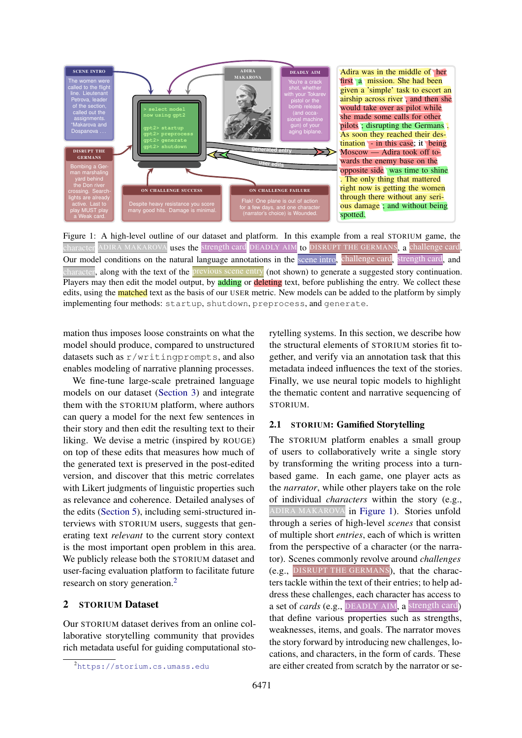<span id="page-1-2"></span>

Figure 1: A high-level outline of our dataset and platform. In this example from a real STORIUM game, the character ADIRA MAKAROVA uses the strength card DEADLY AIM to DISRUPT THE GERMANS, a challenge card Our model conditions on the natural language annotations in the scene intro, challenge card, strength card, and character, along with the text of the previous scene entry (not shown) to generate a suggested story continuation. Players may then edit the model output, by adding or deleting text, before publishing the entry. We collect these edits, using the **matched** text as the basis of our USER metric. New models can be added to the platform by simply implementing four methods: startup, shutdown, preprocess, and generate.

mation thus imposes loose constraints on what the model should produce, compared to unstructured datasets such as r/writingprompts, and also enables modeling of narrative planning processes.

We fine-tune large-scale pretrained language models on our dataset [\(Section 3\)](#page-3-0) and integrate them with the STORIUM platform, where authors can query a model for the next few sentences in their story and then edit the resulting text to their liking. We devise a metric (inspired by ROUGE) on top of these edits that measures how much of the generated text is preserved in the post-edited version, and discover that this metric correlates with Likert judgments of linguistic properties such as relevance and coherence. Detailed analyses of the edits [\(Section 5\)](#page-6-0), including semi-structured interviews with STORIUM users, suggests that generating text *relevant* to the current story context is the most important open problem in this area. We publicly release both the STORIUM dataset and user-facing evaluation platform to facilitate future research on story generation.<sup>[2](#page-1-1)</sup>

# <span id="page-1-0"></span>2 STORIUM Dataset

Our STORIUM dataset derives from an online collaborative storytelling community that provides rich metadata useful for guiding computational storytelling systems. In this section, we describe how the structural elements of STORIUM stories fit together, and verify via an annotation task that this metadata indeed influences the text of the stories. Finally, we use neural topic models to highlight the thematic content and narrative sequencing of STORIUM.

#### 2.1 STORIUM: Gamified Storytelling

The STORIUM platform enables a small group of users to collaboratively write a single story by transforming the writing process into a turnbased game. In each game, one player acts as the *narrator*, while other players take on the role of individual *characters* within the story (e.g., ADIRA MAKAROVA in [Figure 1\)](#page-1-2). Stories unfold through a series of high-level *scenes* that consist of multiple short *entries*, each of which is written from the perspective of a character (or the narrator). Scenes commonly revolve around *challenges* (e.g., DISRUPT THE GERMANS), that the characters tackle within the text of their entries; to help address these challenges, each character has access to a set of *cards* (e.g., DEADLY AIM, a strength card) that define various properties such as strengths, weaknesses, items, and goals. The narrator moves the story forward by introducing new challenges, locations, and characters, in the form of cards. These are either created from scratch by the narrator or se-

<span id="page-1-1"></span><sup>2</sup><https://storium.cs.umass.edu>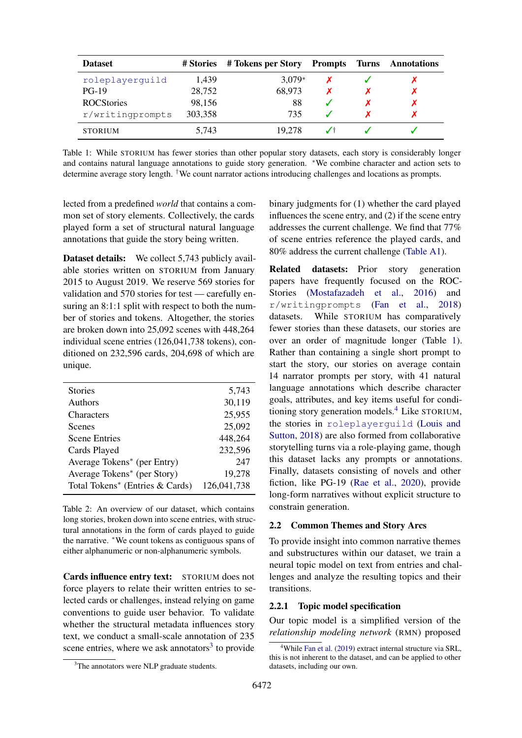<span id="page-2-1"></span>

| <b>Dataset</b>    | # Stories | # Tokens per Story Prompts | Turns | Annotations |
|-------------------|-----------|----------------------------|-------|-------------|
| roleplayerquild   | 1,439     | $3,079*$                   |       |             |
| $PG-19$           | 28,752    | 68,973                     |       |             |
| <b>ROCStories</b> | 98,156    | 88                         |       |             |
| r/writingprompts  | 303,358   | 735                        |       |             |
| <b>STORIUM</b>    | 5,743     | 19.278                     |       |             |

Table 1: While STORIUM has fewer stories than other popular story datasets, each story is considerably longer and contains natural language annotations to guide story generation. <sup>∗</sup>We combine character and action sets to determine average story length. †We count narrator actions introducing challenges and locations as prompts.

lected from a predefined *world* that contains a common set of story elements. Collectively, the cards played form a set of structural natural language annotations that guide the story being written.

Dataset details: We collect 5,743 publicly available stories written on STORIUM from January 2015 to August 2019. We reserve 569 stories for validation and 570 stories for test — carefully ensuring an 8:1:1 split with respect to both the number of stories and tokens. Altogether, the stories are broken down into 25,092 scenes with 448,264 individual scene entries (126,041,738 tokens), conditioned on 232,596 cards, 204,698 of which are unique.

<span id="page-2-3"></span>

| <b>Stories</b>                  | 5,743       |
|---------------------------------|-------------|
| Authors                         | 30,119      |
| Characters                      | 25,955      |
| <b>Scenes</b>                   | 25,092      |
| <b>Scene Entries</b>            | 448,264     |
| Cards Played                    | 232,596     |
| Average Tokens* (per Entry)     | 247         |
| Average Tokens* (per Story)     | 19,278      |
| Total Tokens* (Entries & Cards) | 126,041,738 |
|                                 |             |

Table 2: An overview of our dataset, which contains long stories, broken down into scene entries, with structural annotations in the form of cards played to guide the narrative. <sup>∗</sup>We count tokens as contiguous spans of either alphanumeric or non-alphanumeric symbols.

Cards influence entry text: STORIUM does not force players to relate their written entries to selected cards or challenges, instead relying on game conventions to guide user behavior. To validate whether the structural metadata influences story text, we conduct a small-scale annotation of 235 scene entries, where we ask annotators<sup>[3](#page-2-0)</sup> to provide

binary judgments for (1) whether the card played influences the scene entry, and (2) if the scene entry addresses the current challenge. We find that 77% of scene entries reference the played cards, and 80% address the current challenge [\(Table A1\)](#page-11-0).

Related datasets: Prior story generation papers have frequently focused on the ROC-Stories [\(Mostafazadeh et al.,](#page-9-1) [2016\)](#page-9-1) and r/writingprompts [\(Fan et al.,](#page-9-2) [2018\)](#page-9-2) datasets. While STORIUM has comparatively fewer stories than these datasets, our stories are over an order of magnitude longer (Table [1\)](#page-2-1). Rather than containing a single short prompt to start the story, our stories on average contain 14 narrator prompts per story, with 41 natural language annotations which describe character goals, attributes, and key items useful for conditioning story generation models.[4](#page-2-2) Like STORIUM, the stories in roleplayerguild [\(Louis and](#page-9-5) [Sutton,](#page-9-5) [2018\)](#page-9-5) are also formed from collaborative storytelling turns via a role-playing game, though this dataset lacks any prompts or annotations. Finally, datasets consisting of novels and other fiction, like PG-19 [\(Rae et al.,](#page-10-3) [2020\)](#page-10-3), provide long-form narratives without explicit structure to constrain generation.

# 2.2 Common Themes and Story Arcs

To provide insight into common narrative themes and substructures within our dataset, we train a neural topic model on text from entries and challenges and analyze the resulting topics and their transitions.

#### 2.2.1 Topic model specification

Our topic model is a simplified version of the *relationship modeling network* (RMN) proposed

<span id="page-2-0"></span><sup>&</sup>lt;sup>3</sup>The annotators were NLP graduate students.

<span id="page-2-2"></span><sup>&</sup>lt;sup>4</sup>While [Fan et al.](#page-9-4) [\(2019\)](#page-9-4) extract internal structure via SRL, this is not inherent to the dataset, and can be applied to other datasets, including our own.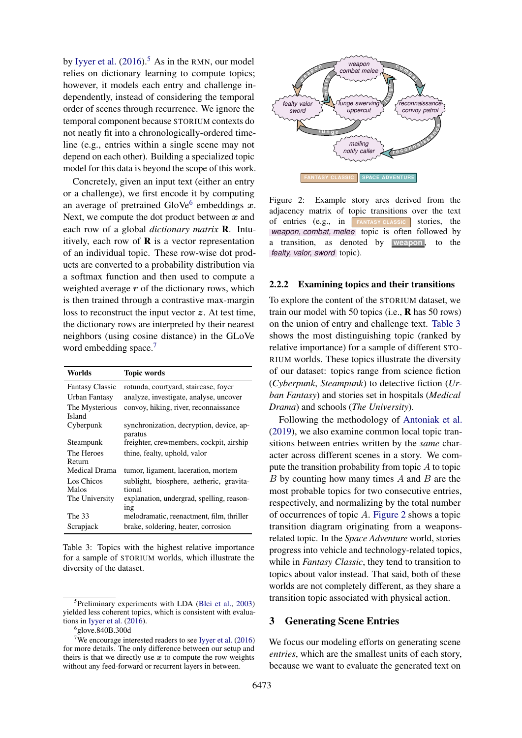by [Iyyer et al.](#page-9-6)  $(2016)$ <sup>[5](#page-3-1)</sup> As in the RMN, our model relies on dictionary learning to compute topics; however, it models each entry and challenge independently, instead of considering the temporal order of scenes through recurrence. We ignore the temporal component because STORIUM contexts do not neatly fit into a chronologically-ordered timeline (e.g., entries within a single scene may not depend on each other). Building a specialized topic model for this data is beyond the scope of this work.

Concretely, given an input text (either an entry or a challenge), we first encode it by computing an average of pretrained GloVe<sup>[6](#page-3-2)</sup> embeddings x. Next, we compute the dot product between  $x$  and each row of a global *dictionary matrix* R. Intuitively, each row of  **is a vector representation** of an individual topic. These row-wise dot products are converted to a probability distribution via a softmax function and then used to compute a weighted average  $r$  of the dictionary rows, which is then trained through a contrastive max-margin loss to reconstruct the input vector z. At test time, the dictionary rows are interpreted by their nearest neighbors (using cosine distance) in the GLoVe word embedding space.<sup>[7](#page-3-3)</sup>

<span id="page-3-4"></span>

| Worlds                          | <b>Topic words</b>                                  |
|---------------------------------|-----------------------------------------------------|
| <b>Fantasy Classic</b>          | rotunda, courtyard, staircase, foyer                |
| Urban Fantasy                   | analyze, investigate, analyse, uncover              |
| The Mysterious<br><b>Island</b> | convoy, hiking, river, reconnaissance               |
| Cyberpunk                       | synchronization, decryption, device, ap-<br>paratus |
| Steampunk                       | freighter, crewmembers, cockpit, airship            |
| The Heroes                      | thine, fealty, uphold, valor                        |
| Return                          |                                                     |
| Medical Drama                   | tumor, ligament, laceration, mortem                 |
| Los Chicos                      | sublight, biosphere, aetheric, gravita-             |
| Malos                           | tional                                              |
| The University                  | explanation, undergrad, spelling, reason-           |
|                                 | $\frac{1}{1}$                                       |
| The 33                          | melodramatic, reenactment, film, thriller           |
| Scrapjack                       | brake, soldering, heater, corrosion                 |

Table 3: Topics with the highest relative importance for a sample of STORIUM worlds, which illustrate the diversity of the dataset.

<span id="page-3-5"></span>

Figure 2: Example story arcs derived from the adjacency matrix of topic transitions over the text of entries (e.g., in **FANTASY CLASSIC** stories, the *weapon, combat, melee* topic is often followed by a transition, as denoted by **weapon**, to the *fealty, valor, sword* topic).

#### 2.2.2 Examining topics and their transitions

To explore the content of the STORIUM dataset, we train our model with 50 topics (i.e.,  $\bf{R}$  has 50 rows) on the union of entry and challenge text. [Table 3](#page-3-4) shows the most distinguishing topic (ranked by relative importance) for a sample of different STO-RIUM worlds. These topics illustrate the diversity of our dataset: topics range from science fiction (*Cyberpunk*, *Steampunk*) to detective fiction (*Urban Fantasy*) and stories set in hospitals (*Medical Drama*) and schools (*The University*).

Following the methodology of [Antoniak et al.](#page-9-8) [\(2019\)](#page-9-8), we also examine common local topic transitions between entries written by the *same* character across different scenes in a story. We compute the transition probability from topic  $A$  to topic  $B$  by counting how many times  $A$  and  $B$  are the most probable topics for two consecutive entries, respectively, and normalizing by the total number of occurrences of topic A. [Figure 2](#page-3-5) shows a topic transition diagram originating from a weaponsrelated topic. In the *Space Adventure* world, stories progress into vehicle and technology-related topics, while in *Fantasy Classic*, they tend to transition to topics about valor instead. That said, both of these worlds are not completely different, as they share a transition topic associated with physical action.

#### <span id="page-3-0"></span>3 Generating Scene Entries

We focus our modeling efforts on generating scene *entries*, which are the smallest units of each story, because we want to evaluate the generated text on

<span id="page-3-1"></span><sup>&</sup>lt;sup>5</sup>Preliminary experiments with LDA [\(Blei et al.,](#page-9-7) [2003\)](#page-9-7) yielded less coherent topics, which is consistent with evaluations in [Iyyer et al.](#page-9-6) [\(2016\)](#page-9-6).

<span id="page-3-3"></span><span id="page-3-2"></span><sup>6</sup> glove.840B.300d

<sup>&</sup>lt;sup>7</sup>We encourage interested readers to see [Iyyer et al.](#page-9-6)  $(2016)$ for more details. The only difference between our setup and theirs is that we directly use  $x$  to compute the row weights without any feed-forward or recurrent layers in between.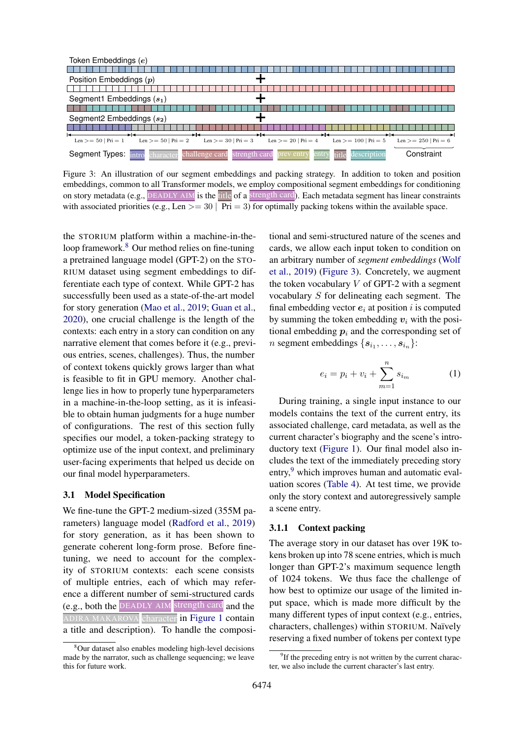<span id="page-4-1"></span>

| Token Embeddings (e)                                                                                                                                         |
|--------------------------------------------------------------------------------------------------------------------------------------------------------------|
|                                                                                                                                                              |
| Position Embeddings $(p)$                                                                                                                                    |
|                                                                                                                                                              |
| Segment1 Embeddings $(s_1)$                                                                                                                                  |
|                                                                                                                                                              |
| Segment2 Embeddings $(s_2)$                                                                                                                                  |
|                                                                                                                                                              |
| Len $>= 50$   Pri $= 2$<br>$Len$ >= 20   Pri = 4<br>Len $>= 50$   Pri $= 1$<br>Len $>= 30$   Pri $= 3$<br>$Len$ >= 100   Pri = 5<br>Len $>= 250$   Pri $= 6$ |
| Constraint<br>Segment Types:<br>challenge card<br>strength card<br>title<br>entry<br>description<br><b>TITO</b><br>character                                 |

Figure 3: An illustration of our segment embeddings and packing strategy. In addition to token and position embeddings, common to all Transformer models, we employ compositional segment embeddings for conditioning on story metadata (e.g., DEADLY AIM is the title of a strength card). Each metadata segment has linear constraints with associated priorities (e.g., Len  $>= 30$  |  $\overline{Pri} = 3$ ) for optimally packing tokens within the available space.

the STORIUM platform within a machine-in-the-loop framework.<sup>[8](#page-4-0)</sup> Our method relies on fine-tuning a pretrained language model (GPT-2) on the STO-RIUM dataset using segment embeddings to differentiate each type of context. While GPT-2 has successfully been used as a state-of-the-art model for story generation [\(Mao et al.,](#page-9-9) [2019;](#page-9-9) [Guan et al.,](#page-9-10) [2020\)](#page-9-10), one crucial challenge is the length of the contexts: each entry in a story can condition on any narrative element that comes before it (e.g., previous entries, scenes, challenges). Thus, the number of context tokens quickly grows larger than what is feasible to fit in GPU memory. Another challenge lies in how to properly tune hyperparameters in a machine-in-the-loop setting, as it is infeasible to obtain human judgments for a huge number of configurations. The rest of this section fully specifies our model, a token-packing strategy to optimize use of the input context, and preliminary user-facing experiments that helped us decide on our final model hyperparameters.

# 3.1 Model Specification

We fine-tune the GPT-2 medium-sized (355M parameters) language model [\(Radford et al.,](#page-10-4) [2019\)](#page-10-4) for story generation, as it has been shown to generate coherent long-form prose. Before finetuning, we need to account for the complexity of STORIUM contexts: each scene consists of multiple entries, each of which may reference a different number of semi-structured cards (e.g., both the DEADLY AIM strength card and the ADIRA MAKAROVA character in [Figure 1](#page-1-2) contain a title and description). To handle the compositional and semi-structured nature of the scenes and cards, we allow each input token to condition on an arbitrary number of *segment embeddings* [\(Wolf](#page-10-5) [et al.,](#page-10-5) [2019\)](#page-10-5) [\(Figure 3\)](#page-4-1). Concretely, we augment the token vocabulary  $V$  of GPT-2 with a segment vocabulary S for delineating each segment. The final embedding vector  $e_i$  at position i is computed by summing the token embedding  $v_i$  with the positional embedding  $p_i$  and the corresponding set of *n* segment embeddings  $\{s_{i_1}, \ldots, s_{i_n}\}$ :

$$
e_i = p_i + v_i + \sum_{m=1}^{n} s_{i_m}
$$
 (1)

During training, a single input instance to our models contains the text of the current entry, its associated challenge, card metadata, as well as the current character's biography and the scene's introductory text [\(Figure 1\)](#page-1-2). Our final model also includes the text of the immediately preceding story entry,<sup>[9](#page-4-2)</sup> which improves human and automatic evaluation scores [\(Table 4\)](#page-5-1). At test time, we provide only the story context and autoregressively sample a scene entry.

#### 3.1.1 Context packing

The average story in our dataset has over 19K tokens broken up into 78 scene entries, which is much longer than GPT-2's maximum sequence length of 1024 tokens. We thus face the challenge of how best to optimize our usage of the limited input space, which is made more difficult by the many different types of input context (e.g., entries, characters, challenges) within STORIUM. Naïvely reserving a fixed number of tokens per context type

<span id="page-4-0"></span><sup>8</sup>Our dataset also enables modeling high-level decisions made by the narrator, such as challenge sequencing; we leave this for future work.

<span id="page-4-2"></span><sup>&</sup>lt;sup>9</sup>If the preceding entry is not written by the current character, we also include the current character's last entry.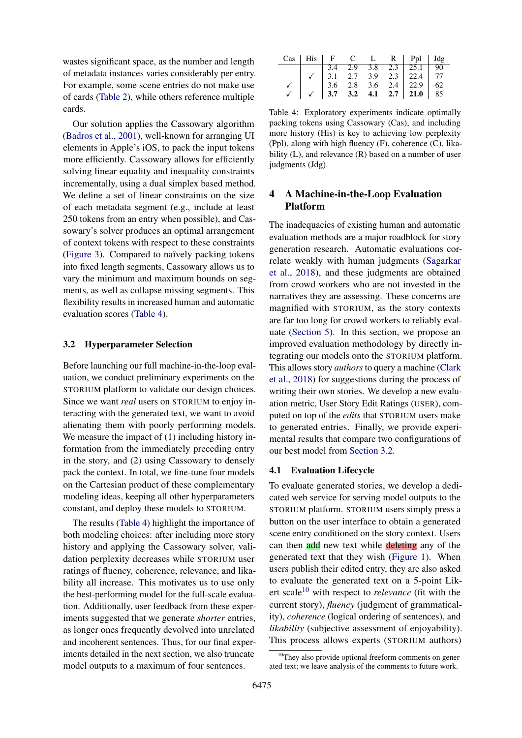wastes significant space, as the number and length of metadata instances varies considerably per entry. For example, some scene entries do not make use of cards [\(Table 2\)](#page-2-3), while others reference multiple cards.

Our solution applies the Cassowary algorithm [\(Badros et al.,](#page-9-11) [2001\)](#page-9-11), well-known for arranging UI elements in Apple's iOS, to pack the input tokens more efficiently. Cassowary allows for efficiently solving linear equality and inequality constraints incrementally, using a dual simplex based method. We define a set of linear constraints on the size of each metadata segment (e.g., include at least 250 tokens from an entry when possible), and Cassowary's solver produces an optimal arrangement of context tokens with respect to these constraints [\(Figure 3\)](#page-4-1). Compared to naïvely packing tokens into fixed length segments, Cassowary allows us to vary the minimum and maximum bounds on segments, as well as collapse missing segments. This flexibility results in increased human and automatic evaluation scores [\(Table 4\)](#page-5-1).

# <span id="page-5-2"></span>3.2 Hyperparameter Selection

Before launching our full machine-in-the-loop evaluation, we conduct preliminary experiments on the STORIUM platform to validate our design choices. Since we want *real* users on STORIUM to enjoy interacting with the generated text, we want to avoid alienating them with poorly performing models. We measure the impact of (1) including history information from the immediately preceding entry in the story, and (2) using Cassowary to densely pack the context. In total, we fine-tune four models on the Cartesian product of these complementary modeling ideas, keeping all other hyperparameters constant, and deploy these models to STORIUM.

The results [\(Table 4\)](#page-5-1) highlight the importance of both modeling choices: after including more story history and applying the Cassowary solver, validation perplexity decreases while STORIUM user ratings of fluency, coherence, relevance, and likability all increase. This motivates us to use only the best-performing model for the full-scale evaluation. Additionally, user feedback from these experiments suggested that we generate *shorter* entries, as longer ones frequently devolved into unrelated and incoherent sentences. Thus, for our final experiments detailed in the next section, we also truncate model outputs to a maximum of four sentences.

<span id="page-5-1"></span>

|  |  |  | $Cas \mid His \mid F \mid C \mid L \mid R \mid Ppl \mid Jdg$                                             |  |
|--|--|--|----------------------------------------------------------------------------------------------------------|--|
|  |  |  |                                                                                                          |  |
|  |  |  |                                                                                                          |  |
|  |  |  |                                                                                                          |  |
|  |  |  | 3.4 2.9 3.8 2.3 25.1 90<br>3.1 2.7 3.9 2.3 22.4 77<br>3.6 2.8 3.6 2.4 22.9 62<br>3.7 3.2 4.1 2.7 21.0 85 |  |

Table 4: Exploratory experiments indicate optimally packing tokens using Cassowary (Cas), and including more history (His) is key to achieving low perplexity (Ppl), along with high fluency (F), coherence (C), likability (L), and relevance (R) based on a number of user judgments (Jdg).

# <span id="page-5-0"></span>4 A Machine-in-the-Loop Evaluation Platform

The inadequacies of existing human and automatic evaluation methods are a major roadblock for story generation research. Automatic evaluations correlate weakly with human judgments [\(Sagarkar](#page-10-6) [et al.,](#page-10-6) [2018\)](#page-10-6), and these judgments are obtained from crowd workers who are not invested in the narratives they are assessing. These concerns are magnified with STORIUM, as the story contexts are far too long for crowd workers to reliably evaluate [\(Section 5\)](#page-7-0). In this section, we propose an improved evaluation methodology by directly integrating our models onto the STORIUM platform. This allows story *authors* to query a machine [\(Clark](#page-9-0) [et al.,](#page-9-0) [2018\)](#page-9-0) for suggestions during the process of writing their own stories. We develop a new evaluation metric, User Story Edit Ratings (USER), computed on top of the *edits* that STORIUM users make to generated entries. Finally, we provide experimental results that compare two configurations of our best model from [Section 3.2.](#page-5-2)

### 4.1 Evaluation Lifecycle

To evaluate generated stories, we develop a dedicated web service for serving model outputs to the STORIUM platform. STORIUM users simply press a button on the user interface to obtain a generated scene entry conditioned on the story context. Users can then add new text while deleting any of the generated text that they wish [\(Figure 1\)](#page-1-2). When users publish their edited entry, they are also asked to evaluate the generated text on a 5-point Likert scale[10](#page-5-3) with respect to *relevance* (fit with the current story), *fluency* (judgment of grammaticality), *coherence* (logical ordering of sentences), and *likability* (subjective assessment of enjoyability). This process allows experts (STORIUM authors)

<span id="page-5-3"></span> $10$ They also provide optional freeform comments on generated text; we leave analysis of the comments to future work.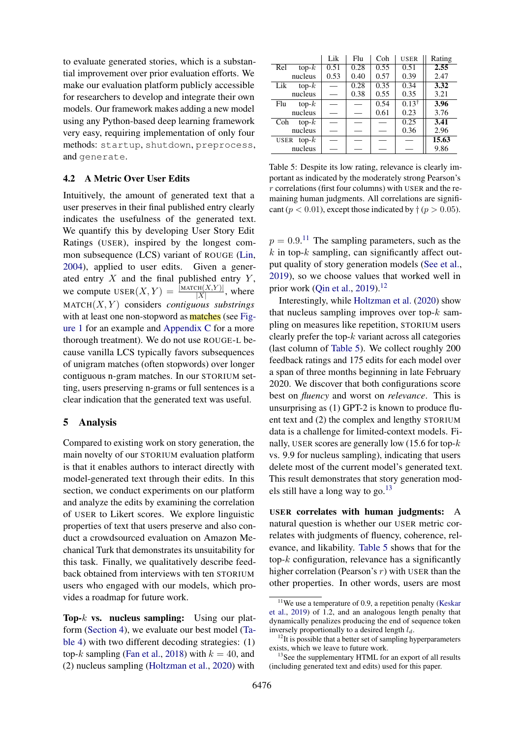to evaluate generated stories, which is a substantial improvement over prior evaluation efforts. We make our evaluation platform publicly accessible for researchers to develop and integrate their own models. Our framework makes adding a new model using any Python-based deep learning framework very easy, requiring implementation of only four methods: startup, shutdown, preprocess, and generate.

#### 4.2 A Metric Over User Edits

Intuitively, the amount of generated text that a user preserves in their final published entry clearly indicates the usefulness of the generated text. We quantify this by developing User Story Edit Ratings (USER), inspired by the longest common subsequence (LCS) variant of ROUGE [\(Lin,](#page-9-12) [2004\)](#page-9-12), applied to user edits. Given a generated entry  $X$  and the final published entry  $Y$ , we compute  $\text{USER}(X, Y) = \frac{|\text{MATEH}(X, Y)|}{|X|}$ , where  $MATCH(X, Y)$  considers *contiguous substrings* with at least one non-stopword as **matches** (see [Fig](#page-1-2)[ure 1](#page-1-2) for an example and [Appendix C](#page-13-0) for a more thorough treatment). We do not use ROUGE-L because vanilla LCS typically favors subsequences of unigram matches (often stopwords) over longer contiguous n-gram matches. In our STORIUM setting, users preserving n-grams or full sentences is a clear indication that the generated text was useful.

### <span id="page-6-0"></span>5 Analysis

Compared to existing work on story generation, the main novelty of our STORIUM evaluation platform is that it enables authors to interact directly with model-generated text through their edits. In this section, we conduct experiments on our platform and analyze the edits by examining the correlation of USER to Likert scores. We explore linguistic properties of text that users preserve and also conduct a crowdsourced evaluation on Amazon Mechanical Turk that demonstrates its unsuitability for this task. Finally, we qualitatively describe feedback obtained from interviews with ten STORIUM users who engaged with our models, which provides a roadmap for future work.

Top- $k$  vs. nucleus sampling: Using our platform [\(Section 4\)](#page-5-0), we evaluate our best model [\(Ta](#page-5-1)[ble 4\)](#page-5-1) with two different decoding strategies: (1) top-k sampling [\(Fan et al.,](#page-9-2) [2018\)](#page-9-2) with  $k = 40$ , and (2) nucleus sampling [\(Holtzman et al.,](#page-9-13) [2020\)](#page-9-13) with

<span id="page-6-3"></span>

|                            | Lik  | Flu  | Coh  | <b>USER</b>      | Rating |
|----------------------------|------|------|------|------------------|--------|
| top- $\overline{k}$<br>Rel | 0.51 | 0.28 | 0.55 | 0.51             | 2.55   |
| nucleus                    | 0.53 | 0.40 | 0.57 | 0.39             | 2.47   |
| Lik<br>top- $k$            |      | 0.28 | 0.35 | 0.34             | 3.32   |
| nucleus                    |      | 0.38 | 0.55 | 0.35             | 3.21   |
| top- $k$<br>Flu            |      |      | 0.54 | $0.13^{\dagger}$ | 3.96   |
| nucleus                    |      |      | 0.61 | 0.23             | 3.76   |
| Coh<br>$top-k$             |      |      |      | 0.25             | 3.41   |
| nucleus                    |      |      |      | 0.36             | 2.96   |
| USER top- $k$              |      |      |      |                  | 15.63  |
| nucleus                    |      |      |      |                  | 9.86   |

Table 5: Despite its low rating, relevance is clearly important as indicated by the moderately strong Pearson's  $r$  correlations (first four columns) with USER and the remaining human judgments. All correlations are significant ( $p < 0.01$ ), except those indicated by  $\dagger$  ( $p > 0.05$ ).

 $p = 0.9$ <sup>[11](#page-6-1)</sup>. The sampling parameters, such as the  $k$  in top- $k$  sampling, can significantly affect output quality of story generation models [\(See et al.,](#page-10-7) [2019\)](#page-10-7), so we choose values that worked well in prior work [\(Qin et al.,](#page-9-14) [2019\)](#page-9-14).<sup>[12](#page-6-2)</sup>

Interestingly, while [Holtzman et al.](#page-9-13) [\(2020\)](#page-9-13) show that nucleus sampling improves over top- $k$  sampling on measures like repetition, STORIUM users clearly prefer the top- $k$  variant across all categories (last column of [Table 5\)](#page-6-3). We collect roughly 200 feedback ratings and 175 edits for each model over a span of three months beginning in late February 2020. We discover that both configurations score best on *fluency* and worst on *relevance*. This is unsurprising as (1) GPT-2 is known to produce fluent text and (2) the complex and lengthy STORIUM data is a challenge for limited-context models. Finally, USER scores are generally low  $(15.6$  for top- $k$ vs. 9.9 for nucleus sampling), indicating that users delete most of the current model's generated text. This result demonstrates that story generation mod-els still have a long way to go.<sup>[13](#page-6-4)</sup>

USER correlates with human judgments: A natural question is whether our USER metric correlates with judgments of fluency, coherence, relevance, and likability. [Table 5](#page-6-3) shows that for the top- $k$  configuration, relevance has a significantly higher correlation (Pearson's  $r$ ) with USER than the other properties. In other words, users are most

<span id="page-6-1"></span> $11$ We use a temperature of 0.9, a repetition penalty [\(Keskar](#page-9-15) [et al.,](#page-9-15) [2019\)](#page-9-15) of 1.2, and an analogous length penalty that dynamically penalizes producing the end of sequence token inversely proportionally to a desired length  $l_d$ .

<span id="page-6-2"></span> $12$ It is possible that a better set of sampling hyperparameters exists, which we leave to future work.

<span id="page-6-4"></span><sup>&</sup>lt;sup>13</sup>See the supplementary HTML for an export of all results (including generated text and edits) used for this paper.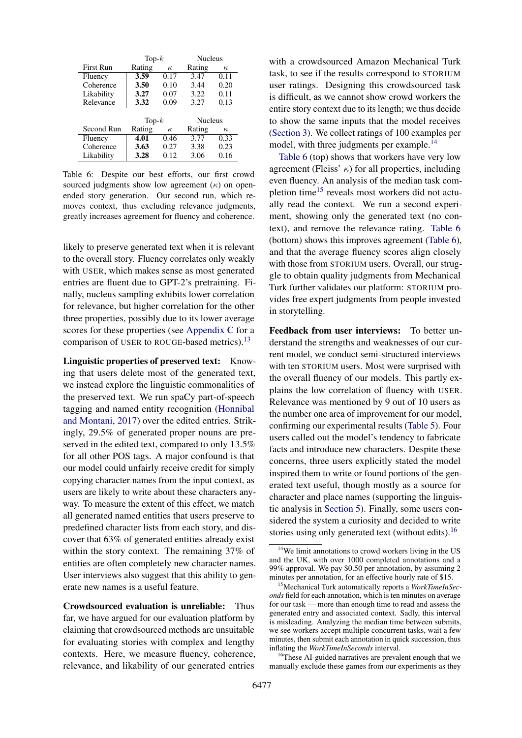<span id="page-7-2"></span>

|            | Top- $k$          |          | <b>Nucleus</b> |          |  |
|------------|-------------------|----------|----------------|----------|--|
| First Run  | Rating            | $\kappa$ | Rating         | $\kappa$ |  |
| Fluency    | $\overline{3.59}$ | 0.17     | 3.47           | 0.11     |  |
| Coherence  | 3.50              | 0.10     | 3.44           | 0.20     |  |
| Likability | 3.27              | 0.07     | 3.22           | 0.11     |  |
| Relevance  | 3.32              | 0.09     | 3.27           | 0.13     |  |
|            |                   |          |                |          |  |
|            | Top- $k$          |          | <b>Nucleus</b> |          |  |
| Second Run | Rating            | $\kappa$ | Rating         | $\kappa$ |  |
| Fluency    | 4.01              | 0.46     | 3.77           | 0.33     |  |
| Coherence  | 3.63              | 0.27     | 3.38           | 0.23     |  |
| Likability | 3.28              | 0.12     | 3.06           | 0.16     |  |

Table 6: Despite our best efforts, our first crowd sourced judgments show low agreement  $(\kappa)$  on openended story generation. Our second run, which removes context, thus excluding relevance judgments, greatly increases agreement for fluency and coherence.

likely to preserve generated text when it is relevant to the overall story. Fluency correlates only weakly with USER, which makes sense as most generated entries are fluent due to GPT-2's pretraining. Finally, nucleus sampling exhibits lower correlation for relevance, but higher correlation for the other three properties, possibly due to its lower average scores for these properties (see [Appendix C](#page-13-0) for a comparison of USER to ROUGE-based metrics).<sup>[13](#page-6-4)</sup>

<span id="page-7-4"></span>Linguistic properties of preserved text: Knowing that users delete most of the generated text, we instead explore the linguistic commonalities of the preserved text. We run spaCy part-of-speech tagging and named entity recognition [\(Honnibal](#page-9-16) [and Montani,](#page-9-16) [2017\)](#page-9-16) over the edited entries. Strikingly, 29.5% of generated proper nouns are preserved in the edited text, compared to only 13.5% for all other POS tags. A major confound is that our model could unfairly receive credit for simply copying character names from the input context, as users are likely to write about these characters anyway. To measure the extent of this effect, we match all generated named entities that users preserve to predefined character lists from each story, and discover that 63% of generated entities already exist within the story context. The remaining 37% of entities are often completely new character names. User interviews also suggest that this ability to generate new names is a useful feature.

<span id="page-7-0"></span>Crowdsourced evaluation is unreliable: Thus far, we have argued for our evaluation platform by claiming that crowdsourced methods are unsuitable for evaluating stories with complex and lengthy contexts. Here, we measure fluency, coherence, relevance, and likability of our generated entries

with a crowdsourced Amazon Mechanical Turk task, to see if the results correspond to STORIUM user ratings. Designing this crowdsourced task is difficult, as we cannot show crowd workers the entire story context due to its length; we thus decide to show the same inputs that the model receives [\(Section 3\)](#page-3-0). We collect ratings of 100 examples per model, with three judgments per example.<sup>[14](#page-7-1)</sup>

[Table 6](#page-7-2) (top) shows that workers have very low agreement (Fleiss'  $\kappa$ ) for all properties, including even fluency. An analysis of the median task com-pletion time<sup>[15](#page-7-3)</sup> reveals most workers did not actually read the context. We run a second experiment, showing only the generated text (no context), and remove the relevance rating. [Table 6](#page-7-2) (bottom) shows this improves agreement [\(Table 6\)](#page-7-2), and that the average fluency scores align closely with those from STORIUM users. Overall, our struggle to obtain quality judgments from Mechanical Turk further validates our platform: STORIUM provides free expert judgments from people invested in storytelling.

Feedback from user interviews: To better understand the strengths and weaknesses of our current model, we conduct semi-structured interviews with ten STORIUM users. Most were surprised with the overall fluency of our models. This partly explains the low correlation of fluency with USER. Relevance was mentioned by 9 out of 10 users as the number one area of improvement for our model, confirming our experimental results [\(Table 5\)](#page-6-3). Four users called out the model's tendency to fabricate facts and introduce new characters. Despite these concerns, three users explicitly stated the model inspired them to write or found portions of the generated text useful, though mostly as a source for character and place names (supporting the linguistic analysis in [Section 5\)](#page-7-4). Finally, some users considered the system a curiosity and decided to write stories using only generated text (without edits).<sup>[16](#page-7-5)</sup>

<span id="page-7-5"></span><sup>16</sup>These AI-guided narratives are prevalent enough that we manually exclude these games from our experiments as they

<span id="page-7-1"></span><sup>&</sup>lt;sup>14</sup>We limit annotations to crowd workers living in the US and the UK, with over 1000 completed annotations and a 99% approval. We pay \$0.50 per annotation, by assuming 2 minutes per annotation, for an effective hourly rate of \$15.

<span id="page-7-3"></span><sup>15</sup>Mechanical Turk automatically reports a *WorkTimeInSeconds* field for each annotation, which is ten minutes on average for our task — more than enough time to read and assess the generated entry and associated context. Sadly, this interval is misleading. Analyzing the median time between submits, we see workers accept multiple concurrent tasks, wait a few minutes, then submit each annotation in quick succession, thus inflating the *WorkTimeInSeconds* interval.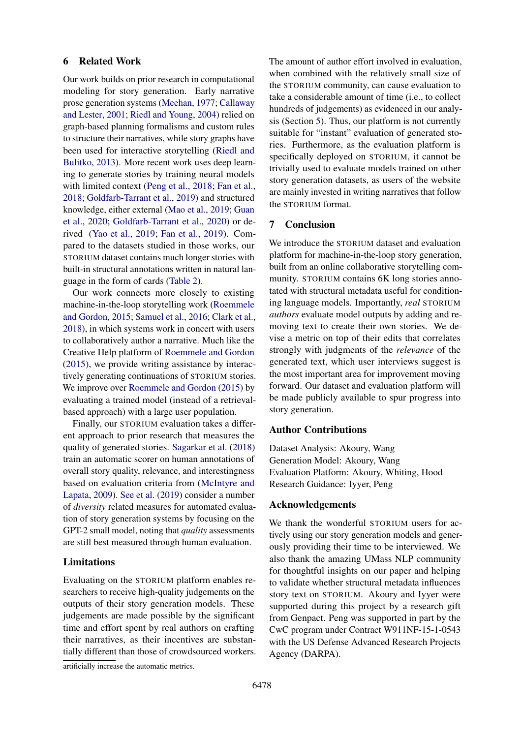#### 6 Related Work

Our work builds on prior research in computational modeling for story generation. Early narrative prose generation systems [\(Meehan,](#page-9-17) [1977;](#page-9-17) [Callaway](#page-9-18) [and Lester,](#page-9-18) [2001;](#page-9-18) [Riedl and Young,](#page-10-8) [2004\)](#page-10-8) relied on graph-based planning formalisms and custom rules to structure their narratives, while story graphs have been used for interactive storytelling [\(Riedl and](#page-10-9) [Bulitko,](#page-10-9) [2013\)](#page-10-9). More recent work uses deep learning to generate stories by training neural models with limited context [\(Peng et al.,](#page-9-19) [2018;](#page-9-19) [Fan et al.,](#page-9-2) [2018;](#page-9-2) [Goldfarb-Tarrant et al.,](#page-9-20) [2019\)](#page-9-20) and structured knowledge, either external [\(Mao et al.,](#page-9-9) [2019;](#page-9-9) [Guan](#page-9-10) [et al.,](#page-9-10) [2020;](#page-9-10) [Goldfarb-Tarrant et al.,](#page-9-21) [2020\)](#page-9-21) or derived [\(Yao et al.,](#page-10-2) [2019;](#page-10-2) [Fan et al.,](#page-9-4) [2019\)](#page-9-4). Compared to the datasets studied in those works, our STORIUM dataset contains much longer stories with built-in structural annotations written in natural language in the form of cards [\(Table 2\)](#page-2-3).

Our work connects more closely to existing machine-in-the-loop storytelling work [\(Roemmele](#page-10-1) [and Gordon,](#page-10-1) [2015;](#page-10-1) [Samuel et al.,](#page-10-10) [2016;](#page-10-10) [Clark et al.,](#page-9-0) [2018\)](#page-9-0), in which systems work in concert with users to collaboratively author a narrative. Much like the Creative Help platform of [Roemmele and Gordon](#page-10-1) [\(2015\)](#page-10-1), we provide writing assistance by interactively generating continuations of STORIUM stories. We improve over [Roemmele and Gordon](#page-10-1) [\(2015\)](#page-10-1) by evaluating a trained model (instead of a retrievalbased approach) with a large user population.

Finally, our STORIUM evaluation takes a different approach to prior research that measures the quality of generated stories. [Sagarkar et al.](#page-10-6) [\(2018\)](#page-10-6) train an automatic scorer on human annotations of overall story quality, relevance, and interestingness based on evaluation criteria from [\(McIntyre and](#page-9-3) [Lapata,](#page-9-3) [2009\)](#page-9-3). [See et al.](#page-10-7) [\(2019\)](#page-10-7) consider a number of *diversity* related measures for automated evaluation of story generation systems by focusing on the GPT-2 small model, noting that *quality* assessments are still best measured through human evaluation.

# Limitations

Evaluating on the STORIUM platform enables researchers to receive high-quality judgements on the outputs of their story generation models. These judgements are made possible by the significant time and effort spent by real authors on crafting their narratives, as their incentives are substantially different than those of crowdsourced workers.

artificially increase the automatic metrics.

The amount of author effort involved in evaluation, when combined with the relatively small size of the STORIUM community, can cause evaluation to take a considerable amount of time (i.e., to collect hundreds of judgements) as evidenced in our analysis (Section [5\)](#page-6-0). Thus, our platform is not currently suitable for "instant" evaluation of generated stories. Furthermore, as the evaluation platform is specifically deployed on STORIUM, it cannot be trivially used to evaluate models trained on other story generation datasets, as users of the website are mainly invested in writing narratives that follow the STORIUM format.

# 7 Conclusion

We introduce the STORIUM dataset and evaluation platform for machine-in-the-loop story generation, built from an online collaborative storytelling community. STORIUM contains 6K long stories annotated with structural metadata useful for conditioning language models. Importantly, *real* STORIUM *authors* evaluate model outputs by adding and removing text to create their own stories. We devise a metric on top of their edits that correlates strongly with judgments of the *relevance* of the generated text, which user interviews suggest is the most important area for improvement moving forward. Our dataset and evaluation platform will be made publicly available to spur progress into story generation.

#### Author Contributions

Dataset Analysis: Akoury, Wang Generation Model: Akoury, Wang Evaluation Platform: Akoury, Whiting, Hood Research Guidance: Iyyer, Peng

#### Acknowledgements

We thank the wonderful STORIUM users for actively using our story generation models and generously providing their time to be interviewed. We also thank the amazing UMass NLP community for thoughtful insights on our paper and helping to validate whether structural metadata influences story text on STORIUM. Akoury and Iyyer were supported during this project by a research gift from Genpact. Peng was supported in part by the CwC program under Contract W911NF-15-1-0543 with the US Defense Advanced Research Projects Agency (DARPA).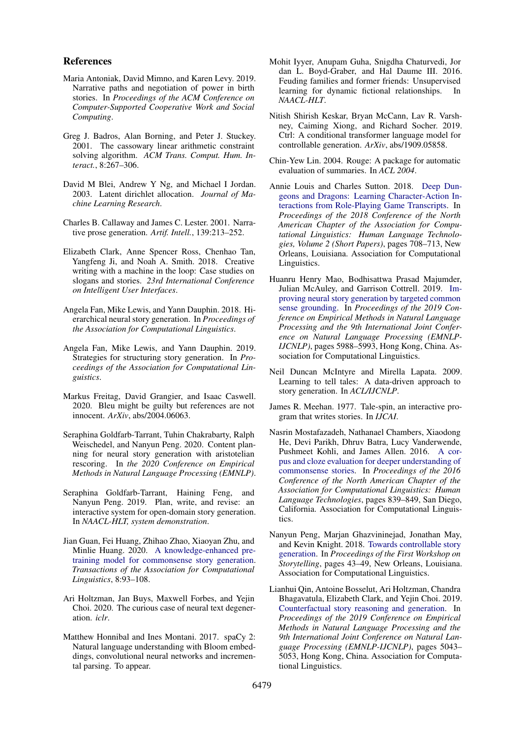#### References

- <span id="page-9-8"></span>Maria Antoniak, David Mimno, and Karen Levy. 2019. Narrative paths and negotiation of power in birth stories. In *Proceedings of the ACM Conference on Computer-Supported Cooperative Work and Social Computing*.
- <span id="page-9-11"></span>Greg J. Badros, Alan Borning, and Peter J. Stuckey. 2001. The cassowary linear arithmetic constraint solving algorithm. *ACM Trans. Comput. Hum. Interact.*, 8:267–306.
- <span id="page-9-7"></span>David M Blei, Andrew Y Ng, and Michael I Jordan. 2003. Latent dirichlet allocation. *Journal of Machine Learning Research*.
- <span id="page-9-18"></span>Charles B. Callaway and James C. Lester. 2001. Narrative prose generation. *Artif. Intell.*, 139:213–252.
- <span id="page-9-0"></span>Elizabeth Clark, Anne Spencer Ross, Chenhao Tan, Yangfeng Ji, and Noah A. Smith. 2018. Creative writing with a machine in the loop: Case studies on slogans and stories. *23rd International Conference on Intelligent User Interfaces*.
- <span id="page-9-2"></span>Angela Fan, Mike Lewis, and Yann Dauphin. 2018. Hierarchical neural story generation. In *Proceedings of the Association for Computational Linguistics*.
- <span id="page-9-4"></span>Angela Fan, Mike Lewis, and Yann Dauphin. 2019. Strategies for structuring story generation. In *Proceedings of the Association for Computational Linguistics*.
- <span id="page-9-22"></span>Markus Freitag, David Grangier, and Isaac Caswell. 2020. Bleu might be guilty but references are not innocent. *ArXiv*, abs/2004.06063.
- <span id="page-9-21"></span>Seraphina Goldfarb-Tarrant, Tuhin Chakrabarty, Ralph Weischedel, and Nanyun Peng. 2020. Content planning for neural story generation with aristotelian rescoring. In *the 2020 Conference on Empirical Methods in Natural Language Processing (EMNLP)*.
- <span id="page-9-20"></span>Seraphina Goldfarb-Tarrant, Haining Feng, and Nanyun Peng. 2019. Plan, write, and revise: an interactive system for open-domain story generation. In *NAACL-HLT, system demonstration*.
- <span id="page-9-10"></span>Jian Guan, Fei Huang, Zhihao Zhao, Xiaoyan Zhu, and Minlie Huang. 2020. [A knowledge-enhanced pre](https://doi.org/10.1162/tacl_a_00302)[training model for commonsense story generation.](https://doi.org/10.1162/tacl_a_00302) *Transactions of the Association for Computational Linguistics*, 8:93–108.
- <span id="page-9-13"></span>Ari Holtzman, Jan Buys, Maxwell Forbes, and Yejin Choi. 2020. The curious case of neural text degeneration. *iclr*.
- <span id="page-9-16"></span>Matthew Honnibal and Ines Montani. 2017. spaCy 2: Natural language understanding with Bloom embeddings, convolutional neural networks and incremental parsing. To appear.
- <span id="page-9-6"></span>Mohit Iyyer, Anupam Guha, Snigdha Chaturvedi, Jor dan L. Boyd-Graber, and Hal Daume III. 2016. Feuding families and former friends: Unsupervised learning for dynamic fictional relationships. In *NAACL-HLT*.
- <span id="page-9-15"></span>Nitish Shirish Keskar, Bryan McCann, Lav R. Varshney, Caiming Xiong, and Richard Socher. 2019. Ctrl: A conditional transformer language model for controllable generation. *ArXiv*, abs/1909.05858.
- <span id="page-9-12"></span>Chin-Yew Lin. 2004. Rouge: A package for automatic evaluation of summaries. In *ACL 2004*.
- <span id="page-9-5"></span>Annie Louis and Charles Sutton. 2018. [Deep Dun](https://doi.org/10.18653/v1/N18-2111)[geons and Dragons: Learning Character-Action In](https://doi.org/10.18653/v1/N18-2111)[teractions from Role-Playing Game Transcripts.](https://doi.org/10.18653/v1/N18-2111) In *Proceedings of the 2018 Conference of the North American Chapter of the Association for Computational Linguistics: Human Language Technologies, Volume 2 (Short Papers)*, pages 708–713, New Orleans, Louisiana. Association for Computational Linguistics.
- <span id="page-9-9"></span>Huanru Henry Mao, Bodhisattwa Prasad Majumder, Julian McAuley, and Garrison Cottrell. 2019. [Im](https://doi.org/10.18653/v1/D19-1615)[proving neural story generation by targeted common](https://doi.org/10.18653/v1/D19-1615) [sense grounding.](https://doi.org/10.18653/v1/D19-1615) In *Proceedings of the 2019 Conference on Empirical Methods in Natural Language Processing and the 9th International Joint Conference on Natural Language Processing (EMNLP-IJCNLP)*, pages 5988–5993, Hong Kong, China. Association for Computational Linguistics.
- <span id="page-9-3"></span>Neil Duncan McIntyre and Mirella Lapata. 2009. Learning to tell tales: A data-driven approach to story generation. In *ACL/IJCNLP*.
- <span id="page-9-17"></span>James R. Meehan. 1977. Tale-spin, an interactive program that writes stories. In *IJCAI*.
- <span id="page-9-1"></span>Nasrin Mostafazadeh, Nathanael Chambers, Xiaodong He, Devi Parikh, Dhruv Batra, Lucy Vanderwende, Pushmeet Kohli, and James Allen. 2016. [A cor](https://doi.org/10.18653/v1/N16-1098)[pus and cloze evaluation for deeper understanding of](https://doi.org/10.18653/v1/N16-1098) [commonsense stories.](https://doi.org/10.18653/v1/N16-1098) In *Proceedings of the 2016 Conference of the North American Chapter of the Association for Computational Linguistics: Human Language Technologies*, pages 839–849, San Diego, California. Association for Computational Linguistics.
- <span id="page-9-19"></span>Nanyun Peng, Marjan Ghazvininejad, Jonathan May, and Kevin Knight. 2018. [Towards controllable story](https://doi.org/10.18653/v1/W18-1505) [generation.](https://doi.org/10.18653/v1/W18-1505) In *Proceedings of the First Workshop on Storytelling*, pages 43–49, New Orleans, Louisiana. Association for Computational Linguistics.
- <span id="page-9-14"></span>Lianhui Qin, Antoine Bosselut, Ari Holtzman, Chandra Bhagavatula, Elizabeth Clark, and Yejin Choi. 2019. [Counterfactual story reasoning and generation.](https://doi.org/10.18653/v1/D19-1509) In *Proceedings of the 2019 Conference on Empirical Methods in Natural Language Processing and the 9th International Joint Conference on Natural Language Processing (EMNLP-IJCNLP)*, pages 5043– 5053, Hong Kong, China. Association for Computational Linguistics.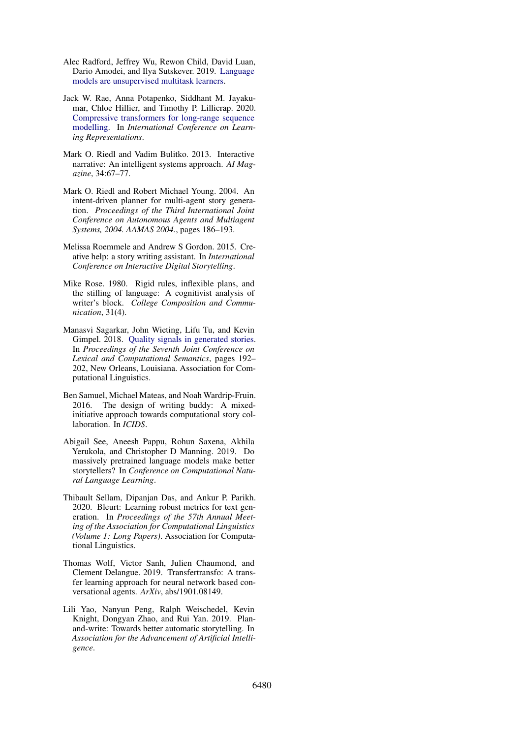- <span id="page-10-4"></span>Alec Radford, Jeffrey Wu, Rewon Child, David Luan, Dario Amodei, and Ilya Sutskever. 2019. [Language](https://openai.com/blog/better-language-models/) [models are unsupervised multitask learners.](https://openai.com/blog/better-language-models/)
- <span id="page-10-3"></span>Jack W. Rae, Anna Potapenko, Siddhant M. Jayakumar, Chloe Hillier, and Timothy P. Lillicrap. 2020. [Compressive transformers for long-range sequence](https://openreview.net/forum?id=SylKikSYDH) [modelling.](https://openreview.net/forum?id=SylKikSYDH) In *International Conference on Learning Representations*.
- <span id="page-10-9"></span>Mark O. Riedl and Vadim Bulitko. 2013. Interactive narrative: An intelligent systems approach. *AI Magazine*, 34:67–77.
- <span id="page-10-8"></span>Mark O. Riedl and Robert Michael Young. 2004. An intent-driven planner for multi-agent story generation. *Proceedings of the Third International Joint Conference on Autonomous Agents and Multiagent Systems, 2004. AAMAS 2004.*, pages 186–193.
- <span id="page-10-1"></span>Melissa Roemmele and Andrew S Gordon. 2015. Creative help: a story writing assistant. In *International Conference on Interactive Digital Storytelling*.
- <span id="page-10-0"></span>Mike Rose. 1980. Rigid rules, inflexible plans, and the stifling of language: A cognitivist analysis of writer's block. *College Composition and Communication*, 31(4).
- <span id="page-10-6"></span>Manasvi Sagarkar, John Wieting, Lifu Tu, and Kevin Gimpel. 2018. [Quality signals in generated stories.](https://doi.org/10.18653/v1/S18-2024) In *Proceedings of the Seventh Joint Conference on Lexical and Computational Semantics*, pages 192– 202, New Orleans, Louisiana. Association for Computational Linguistics.
- <span id="page-10-10"></span>Ben Samuel, Michael Mateas, and Noah Wardrip-Fruin. 2016. The design of writing buddy: A mixedinitiative approach towards computational story collaboration. In *ICIDS*.
- <span id="page-10-7"></span>Abigail See, Aneesh Pappu, Rohun Saxena, Akhila Yerukola, and Christopher D Manning. 2019. Do massively pretrained language models make better storytellers? In *Conference on Computational Natural Language Learning*.
- <span id="page-10-11"></span>Thibault Sellam, Dipanjan Das, and Ankur P. Parikh. 2020. Bleurt: Learning robust metrics for text generation. In *Proceedings of the 57th Annual Meeting of the Association for Computational Linguistics (Volume 1: Long Papers)*. Association for Computational Linguistics.
- <span id="page-10-5"></span>Thomas Wolf, Victor Sanh, Julien Chaumond, and Clement Delangue. 2019. Transfertransfo: A transfer learning approach for neural network based conversational agents. *ArXiv*, abs/1901.08149.
- <span id="page-10-2"></span>Lili Yao, Nanyun Peng, Ralph Weischedel, Kevin Knight, Dongyan Zhao, and Rui Yan. 2019. Planand-write: Towards better automatic storytelling. In *Association for the Advancement of Artificial Intelligence*.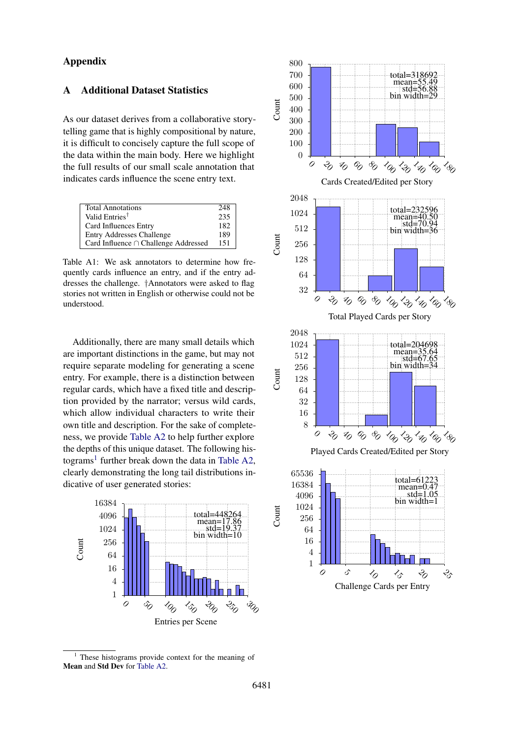# Appendix

# A Additional Dataset Statistics

As our dataset derives from a collaborative storytelling game that is highly compositional by nature, it is difficult to concisely capture the full scope of the data within the main body. Here we highlight the full results of our small scale annotation that indicates cards influence the scene entry text.

<span id="page-11-0"></span>

| <b>Total Annotations</b>                  | 248 |
|-------------------------------------------|-----|
| Valid Entries <sup>†</sup>                | 235 |
| Card Influences Entry                     | 182 |
| <b>Entry Addresses Challenge</b>          | 189 |
| Card Influence $\cap$ Challenge Addressed | 151 |

Table A1: We ask annotators to determine how frequently cards influence an entry, and if the entry addresses the challenge. †Annotators were asked to flag stories not written in English or otherwise could not be understood.

Additionally, there are many small details which are important distinctions in the game, but may not require separate modeling for generating a scene entry. For example, there is a distinction between regular cards, which have a fixed title and description provided by the narrator; versus wild cards, which allow individual characters to write their own title and description. For the sake of completeness, we provide [Table A2](#page-12-0) to help further explore the depths of this unique dataset. The following his-tograms<sup>[1](#page-11-1)</sup> further break down the data in [Table A2,](#page-12-0) clearly demonstrating the long tail distributions indicative of user generated stories:





<span id="page-11-1"></span> $1$  These histograms provide context for the meaning of Mean and Std Dev for [Table A2.](#page-12-0)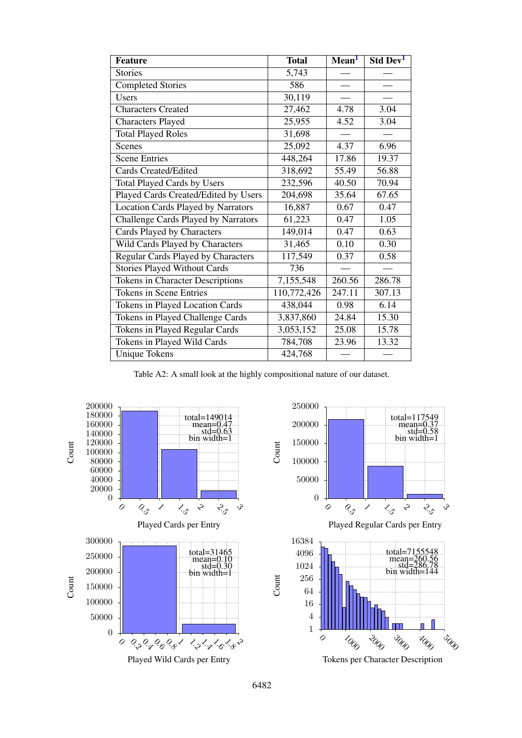<span id="page-12-0"></span>

| <b>Feature</b>                            | <b>Total</b> | Mean <sup>1</sup> | Std Dev <sup>1</sup> |
|-------------------------------------------|--------------|-------------------|----------------------|
| <b>Stories</b>                            | 5,743        |                   |                      |
| <b>Completed Stories</b>                  | 586          |                   |                      |
| <b>Users</b>                              | 30,119       |                   |                      |
| <b>Characters Created</b>                 | 27,462       | 4.78              | 3.04                 |
| <b>Characters Played</b>                  | 25,955       | 4.52              | 3.04                 |
| <b>Total Played Roles</b>                 | 31,698       |                   |                      |
| Scenes                                    | 25,092       | 4.37              | 6.96                 |
| <b>Scene Entries</b>                      | 448,264      | 17.86             | 19.37                |
| <b>Cards Created/Edited</b>               | 318,692      | 55.49             | 56.88                |
| <b>Total Played Cards by Users</b>        | 232,596      | 40.50             | 70.94                |
| Played Cards Created/Edited by Users      | 204,698      | 35.64             | 67.65                |
| <b>Location Cards Played by Narrators</b> | 16,887       | 0.67              | 0.47                 |
| Challenge Cards Played by Narrators       | 61,223       | 0.47              | 1.05                 |
| Cards Played by Characters                | 149,014      | 0.47              | 0.63                 |
| Wild Cards Played by Characters           | 31,465       | 0.10              | 0.30                 |
| Regular Cards Played by Characters        | 117,549      | 0.37              | 0.58                 |
| <b>Stories Played Without Cards</b>       | 736          |                   |                      |
| <b>Tokens in Character Descriptions</b>   | 7,155,548    | 260.56            | 286.78               |
| <b>Tokens in Scene Entries</b>            | 110,772,426  | 247.11            | 307.13               |
| Tokens in Played Location Cards           | 438,044      | 0.98              | 6.14                 |
| Tokens in Played Challenge Cards          | 3,837,860    | 24.84             | 15.30                |
| Tokens in Played Regular Cards            | 3,053,152    | 25.08             | 15.78                |
| Tokens in Played Wild Cards               | 784,708      | 23.96             | 13.32                |
| <b>Unique Tokens</b>                      | 424,768      |                   |                      |

Table A2: A small look at the highly compositional nature of our dataset.



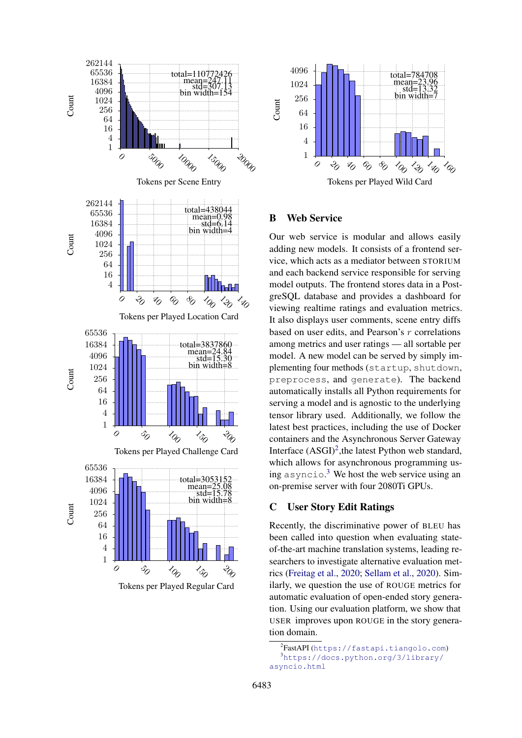

Tokens per Played Regular Card



# B Web Service

Our web service is modular and allows easily adding new models. It consists of a frontend service, which acts as a mediator between STORIUM and each backend service responsible for serving model outputs. The frontend stores data in a PostgreSQL database and provides a dashboard for viewing realtime ratings and evaluation metrics. It also displays user comments, scene entry diffs based on user edits, and Pearson's r correlations among metrics and user ratings — all sortable per model. A new model can be served by simply implementing four methods (startup, shutdown, preprocess, and generate). The backend automatically installs all Python requirements for serving a model and is agnostic to the underlying tensor library used. Additionally, we follow the latest best practices, including the use of Docker containers and the Asynchronous Server Gateway Interface (ASGI)<sup>[2](#page-13-1)</sup>, the latest Python web standard, which allows for asynchronous programming us-ing asyncio.<sup>[3](#page-13-2)</sup> We host the web service using an on-premise server with four 2080Ti GPUs.

# <span id="page-13-0"></span>C User Story Edit Ratings

Recently, the discriminative power of BLEU has been called into question when evaluating stateof-the-art machine translation systems, leading researchers to investigate alternative evaluation metrics [\(Freitag et al.,](#page-9-22) [2020;](#page-9-22) [Sellam et al.,](#page-10-11) [2020\)](#page-10-11). Similarly, we question the use of ROUGE metrics for automatic evaluation of open-ended story generation. Using our evaluation platform, we show that USER improves upon ROUGE in the story generation domain.

<span id="page-13-2"></span><span id="page-13-1"></span><sup>&</sup>lt;sup>2</sup>FastAPI(<https://fastapi.tiangolo.com>) <sup>3</sup>[https://docs.python.org/3/library/](https://docs.python.org/3/library/asyncio.html) [asyncio.html](https://docs.python.org/3/library/asyncio.html)